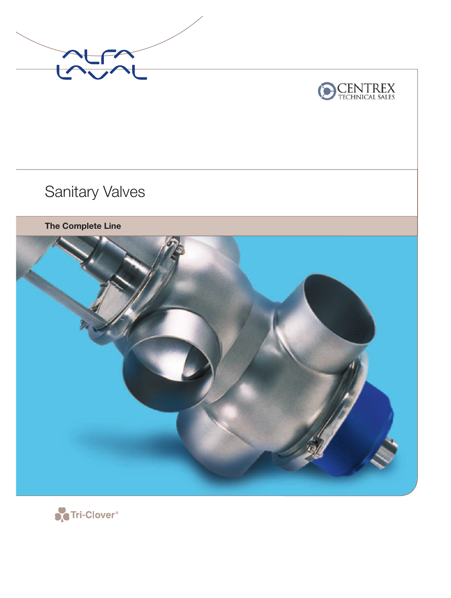



Sanitary Valves

**The Complete Line**



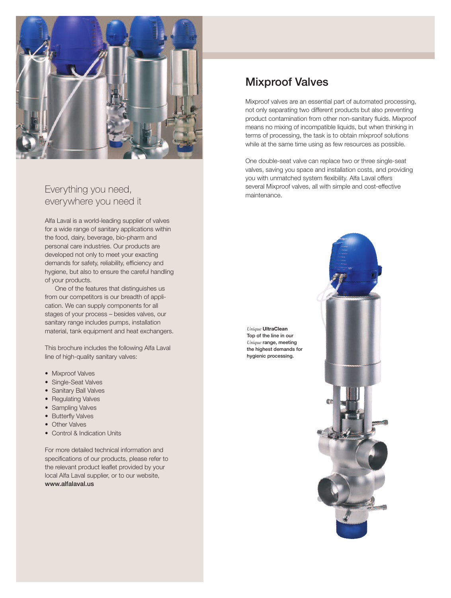

# Everything you need, everywhere you need it

Alfa Laval is a world-leading supplier of valves for a wide range of sanitary applications within the food, dairy, beverage, bio-pharm and personal care industries. Our products are developed not only to meet your exacting demands for safety, reliability, efficiency and hygiene, but also to ensure the careful handling of your products.

One of the features that distinguishes us from our competitors is our breadth of application. We can supply components for all stages of your process – besides valves, our sanitary range includes pumps, installation material, tank equipment and heat exchangers.

This brochure includes the following Alfa Laval line of high-quality sanitary valves:

- Mixproof Valves
- Single-Seat Valves
- Sanitary Ball Valves
- Regulating Valves
- Sampling Valves
- Butterfly Valves
- Other Valves
- Control & Indication Units

For more detailed technical information and specifications of our products, please refer to the relevant product leaflet provided by your local Alfa Laval supplier, or to our website, www.alfalaval.us

# Mixproof Valves

Mixproof valves are an essential part of automated processing, not only separating two different products but also preventing product contamination from other non-sanitary fluids. Mixproof means no mixing of incompatible liquids, but when thinking in terms of processing, the task is to obtain mixproof solutions while at the same time using as few resources as possible.

One double-seat valve can replace two or three single-seat valves, saving you space and installation costs, and providing you with unmatched system flexibility. Alfa Laval offers several Mixproof valves, all with simple and cost-effective maintenance.

*Unique* **UltraClean** Top of the line in our *Unique* range, meeting the highest demands for hygienic processing.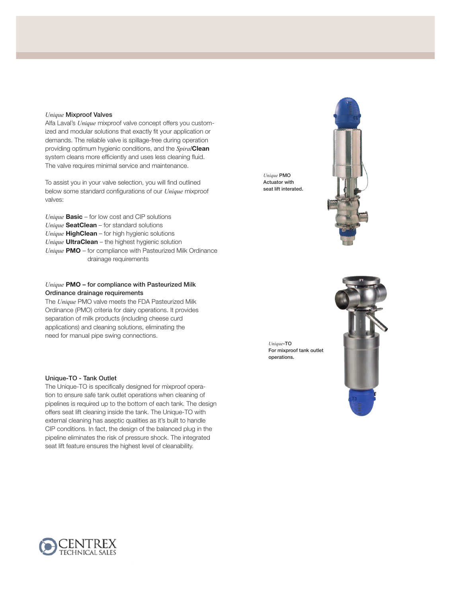#### *Unique* Mixproof Valves

Alfa Laval's *Unique* mixproof valve concept offers you customized and modular solutions that exactly fit your application or demands. The reliable valve is spillage-free during operation providing optimum hygienic conditions, and the *Spiral***Clean** system cleans more efficiently and uses less cleaning fluid. The valve requires minimal service and maintenance.

To assist you in your valve selection, you will find outlined below some standard configurations of our *Unique* mixproof valves:

*Unique* **Basic** – for low cost and CIP solutions *Unique* **SeatClean** – for standard solutions *Unique* **HighClean** – for high hygienic solutions *Unique* **UltraClean** – the highest hygienic solution *Unique* PMO – for compliance with Pasteurized Milk Ordinance drainage requirements

## *Unique* **PMO** – for compliance with Pasteurized Milk Ordinance drainage requirements

The *Unique* PMO valve meets the FDA Pasteurized Milk Ordinance (PMO) criteria for dairy operations. It provides separation of milk products (including cheese curd applications) and cleaning solutions, eliminating the need for manual pipe swing connections.

#### Unique-TO - Tank Outlet

The Unique-TO is specifically designed for mixproof operation to ensure safe tank outlet operations when cleaning of pipelines is required up to the bottom of each tank. The design offers seat lift cleaning inside the tank. The Unique-TO with external cleaning has aseptic qualities as it's built to handle CIP conditions. In fact, the design of the balanced plug in the pipeline eliminates the risk of pressure shock. The integrated seat lift feature ensures the highest level of cleanability.

*Unique* PMO Actuator with seat lift interated.



*Unique*-TO For mixproof tank outlet operations.



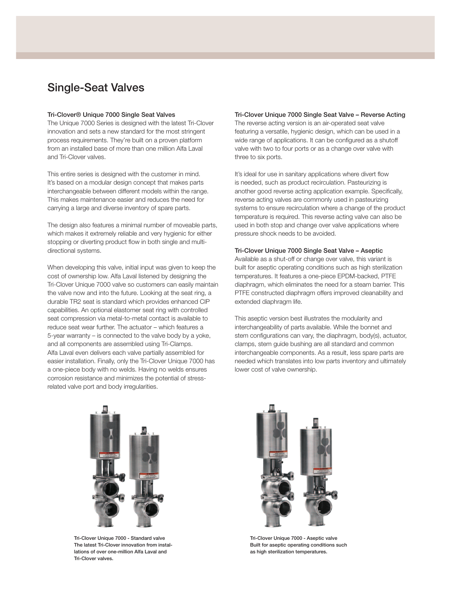# Single-Seat Valves

#### Tri-Clover® Unique 7000 Single Seat Valves

The Unique 7000 Series is designed with the latest Tri-Clover innovation and sets a new standard for the most stringent process requirements. They're built on a proven platform from an installed base of more than one million Alfa Laval and Tri-Clover valves.

This entire series is designed with the customer in mind. It's based on a modular design concept that makes parts interchangeable between different models within the range. This makes maintenance easier and reduces the need for carrying a large and diverse inventory of spare parts.

The design also features a minimal number of moveable parts, which makes it extremely reliable and very hygienic for either stopping or diverting product flow in both single and multidirectional systems.

When developing this valve, initial input was given to keep the cost of ownership low. Alfa Laval listened by designing the Tri-Clover Unique 7000 valve so customers can easily maintain the valve now and into the future. Looking at the seat ring, a durable TR2 seat is standard which provides enhanced CIP capabilities. An optional elastomer seat ring with controlled seat compression via metal-to-metal contact is available to reduce seat wear further. The actuator – which features a 5-year warranty – is connected to the valve body by a yoke, and all components are assembled using Tri-Clamps. Alfa Laval even delivers each valve partially assembled for easier installation. Finally, only the Tri-Clover Unique 7000 has a one-piece body with no welds. Having no welds ensures corrosion resistance and minimizes the potential of stressrelated valve port and body irregularities.

## Tri-Clover Unique 7000 Single Seat Valve – Reverse Acting

The reverse acting version is an air-operated seat valve featuring a versatile, hygienic design, which can be used in a wide range of applications. It can be configured as a shutoff valve with two to four ports or as a change over valve with three to six ports.

It's ideal for use in sanitary applications where divert flow is needed, such as product recirculation. Pasteurizing is another good reverse acting application example. Specifically, reverse acting valves are commonly used in pasteurizing systems to ensure recirculation where a change of the product temperature is required. This reverse acting valve can also be used in both stop and change over valve applications where pressure shock needs to be avoided.

#### Tri-Clover Unique 7000 Single Seat Valve – Aseptic

Available as a shut-off or change over valve, this variant is built for aseptic operating conditions such as high sterilization temperatures. It features a one-piece EPDM-backed, PTFE diaphragm, which eliminates the need for a steam barrier. This PTFE constructed diaphragm offers improved cleanability and extended diaphragm life.

This aseptic version best illustrates the modularity and interchangeability of parts available. While the bonnet and stem configurations can vary, the diaphragm, body(s), actuator, clamps, stem guide bushing are all standard and common interchangeable components. As a result, less spare parts are needed which translates into low parts inventory and ultimately lower cost of valve ownership.



Tri-Clover Unique 7000 - Standard valve The latest Tri-Clover innovation from installations of over one-million Alfa Laval and Tri-Clover valves.



Tri-Clover Unique 7000 - Aseptic valve Built for aseptic operating conditions such as high sterilization temperatures.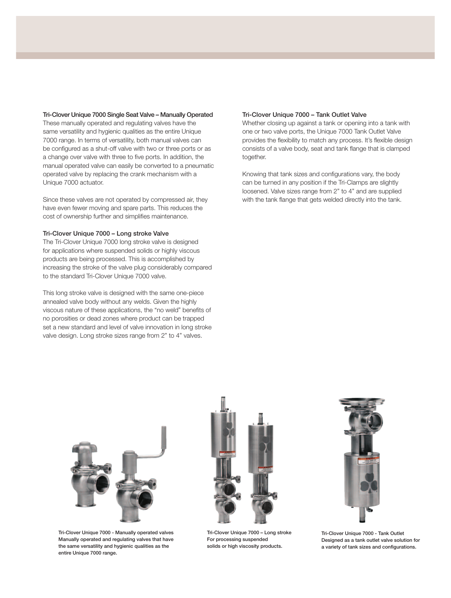#### Tri-Clover Unique 7000 Single Seat Valve – Manually Operated

These manually operated and regulating valves have the same versatility and hygienic qualities as the entire Unique 7000 range. In terms of versatility, both manual valves can be configured as a shut-off valve with two or three ports or as a change over valve with three to five ports. In addition, the manual operated valve can easily be converted to a pneumatic operated valve by replacing the crank mechanism with a Unique 7000 actuator.

Since these valves are not operated by compressed air, they have even fewer moving and spare parts. This reduces the cost of ownership further and simplifies maintenance.

#### Tri-Clover Unique 7000 – Long stroke Valve

The Tri-Clover Unique 7000 long stroke valve is designed for applications where suspended solids or highly viscous products are being processed. This is accomplished by increasing the stroke of the valve plug considerably compared to the standard Tri-Clover Unique 7000 valve.

This long stroke valve is designed with the same one-piece annealed valve body without any welds. Given the highly viscous nature of these applications, the "no weld" benefits of no porosities or dead zones where product can be trapped set a new standard and level of valve innovation in long stroke valve design. Long stroke sizes range from 2" to 4" valves.

#### Tri-Clover Unique 7000 – Tank Outlet Valve

Whether closing up against a tank or opening into a tank with one or two valve ports, the Unique 7000 Tank Outlet Valve provides the flexibility to match any process. It's flexible design consists of a valve body, seat and tank flange that is clamped together.

Knowing that tank sizes and configurations vary, the body can be turned in any position if the Tri-Clamps are slightly loosened. Valve sizes range from 2" to 4" and are supplied with the tank flange that gets welded directly into the tank.



Tri-Clover Unique 7000 - Manually operated valves Manually operated and regulating valves that have the same versatility and hygienic qualities as the entire Unique 7000 range.



Tri-Clover Unique 7000 – Long stroke For processing suspended solids or high viscosity products.



Tri-Clover Unique 7000 - Tank Outlet Designed as a tank outlet valve solution for a variety of tank sizes and configurations.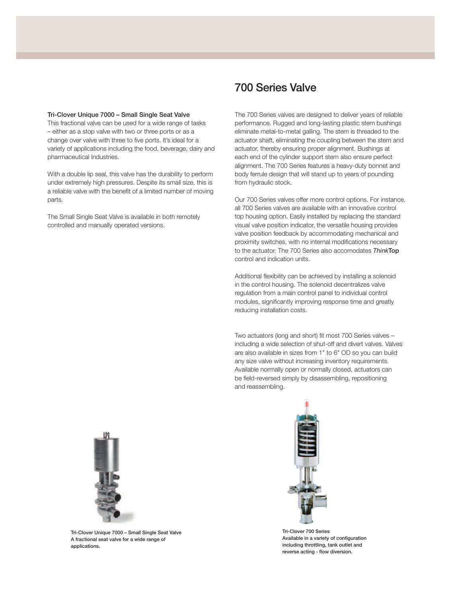#### Tri-Clover Unique 7000 – Small Single Seat Valve

This fractional valve can be used for a wide range of tasks – either as a stop valve with two or three ports or as a change over valve with three to five ports. It's ideal for a variety of applications including the food, beverage, dairy and pharmaceutical Industries.

With a double lip seal, this valve has the durability to perform under extremely high pressures. Despite its small size, this is a reliable valve with the benefit of a limited number of moving parts.

The Small Single Seat Valve is available in both remotely controlled and manually operated versions.

# 700 Series Valve

The 700 Series valves are designed to deliver years of reliable performance. Rugged and long-lasting plastic stem bushings eliminate metal-to-metal galling. The stem is threaded to the actuator shaft, eliminating the coupling between the stem and actuator, thereby ensuring proper alignment. Bushings at each end of the cylinder support stem also ensure perfect alignment. The 700 Series features a heavy-duty bonnet and body ferrule design that will stand up to years of pounding from hydraulic stock.

Our 700 Series valves offer more control options. For instance, all 700 Series valves are available with an innovative control top housing option. Easily installed by replacing the standard visual valve position indicator, the versatile housing provides valve position feedback by accommodating mechanical and proximity switches, with no internal modifications necessary to the actuator. The 700 Series also accomodates *Think*Top control and indication units.

Additional flexibility can be achieved by installing a solenoid in the control housing. The solenoid decentralizes valve regulation from a main control panel to individual control modules, significantly improving response time and greatly reducing installation costs.

Two actuators (long and short) fit most 700 Series valves including a wide selection of shut-off and divert valves. Valves are also available in sizes from 1" to 6" OD so you can build any size valve without increasing inventory requirements. Available normally open or normally closed, actuators can be field-reversed simply by disassembling, repositioning and reassembling.



Tri-Clover Unique 7000 – Small Single Seat Valve A fractional seat valve for a wide range of applications.



Tri-Clover 700 Series Available in a variety of configuration including throttling, tank outlet and reverse acting - flow diversion.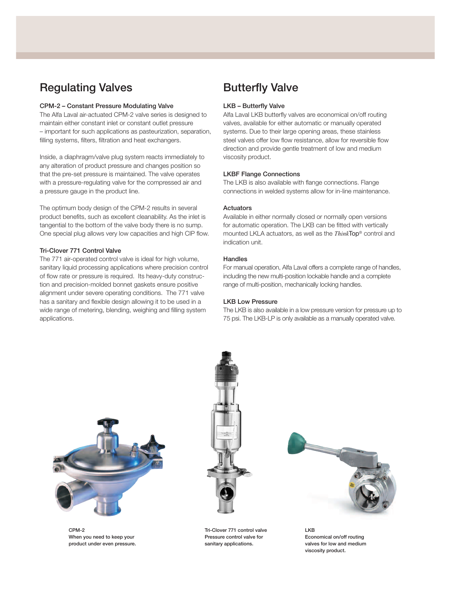# Regulating Valves

#### CPM-2 – Constant Pressure Modulating Valve

The Alfa Laval air-actuated CPM-2 valve series is designed to maintain either constant inlet or constant outlet pressure – important for such applications as pasteurization, separation, filling systems, filters, filtration and heat exchangers.

Inside, a diaphragm/valve plug system reacts immediately to any alteration of product pressure and changes position so that the pre-set pressure is maintained. The valve operates with a pressure-regulating valve for the compressed air and a pressure gauge in the product line.

The optimum body design of the CPM-2 results in several product benefits, such as excellent cleanability. As the inlet is tangential to the bottom of the valve body there is no sump. One special plug allows very low capacities and high CIP flow.

### Tri-Clover 771 Control Valve

The 771 air-operated control valve is ideal for high volume, sanitary liquid processing applications where precision control of flow rate or pressure is required. Its heavy-duty construction and precision-molded bonnet gaskets ensure positive alignment under severe operating conditions. The 771 valve has a sanitary and flexible design allowing it to be used in a wide range of metering, blending, weighing and filling system applications.

# Butterfly Valve

#### LKB – Butterfly Valve

Alfa Laval LKB butterfly valves are economical on/off routing valves, available for either automatic or manually operated systems. Due to their large opening areas, these stainless steel valves offer low flow resistance, allow for reversible flow direction and provide gentle treatment of low and medium viscosity product.

#### LKBF Flange Connections

The LKB is also available with flange connections. Flange connections in welded systems allow for in-line maintenance.

#### **Actuators**

Available in either normally closed or normally open versions for automatic operation. The LKB can be fitted with vertically mounted LKLA actuators, as well as the *Think*Top® control and indication unit.

### **Handles**

For manual operation, Alfa Laval offers a complete range of handles, including the new multi-position lockable handle and a complete range of multi-position, mechanically locking handles.

#### LKB Low Pressure

The LKB is also available in a low pressure version for pressure up to 75 psi. The LKB-LP is only available as a manually operated valve.



CPM-2 When you need to keep your product under even pressure.



Tri-Clover 771 control valve Pressure control valve for sanitary applications.



LKB Economical on/off routing valves for low and medium viscosity product.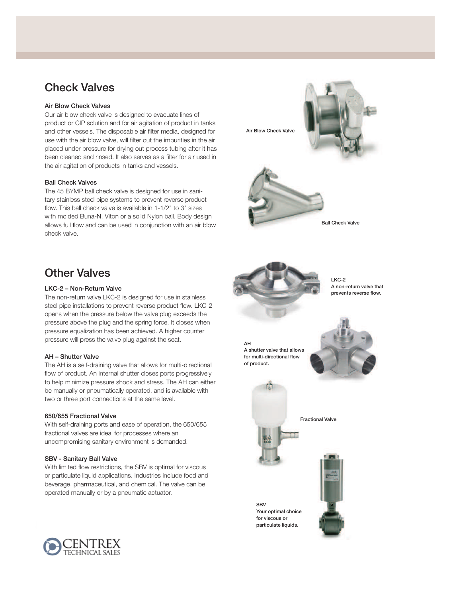# Check Valves

# Air Blow Check Valves

Our air blow check valve is designed to evacuate lines of product or CIP solution and for air agitation of product in tanks and other vessels. The disposable air filter media, designed for use with the air blow valve, will filter out the impurities in the air placed under pressure for drying out process tubing after it has been cleaned and rinsed. It also serves as a filter for air used in the air agitation of products in tanks and vessels.

## Ball Check Valves

**Other Valves** 

AH – Shutter Valve

650/655 Fractional Valve

SBV - Sanitary Ball Valve

LKC-2 – Non-Return Valve

The 45 BYMP ball check valve is designed for use in sanitary stainless steel pipe systems to prevent reverse product flow. This ball check valve is available in 1-1/2" to 3" sizes with molded Buna-N, Viton or a solid Nylon ball. Body design allows full flow and can be used in conjunction with an air blow check valve.

The non-return valve LKC-2 is designed for use in stainless steel pipe installations to prevent reverse product flow. LKC-2 opens when the pressure below the valve plug exceeds the pressure above the plug and the spring force. It closes when pressure equalization has been achieved. A higher counter

The AH is a self-draining valve that allows for multi-directional flow of product. An internal shutter closes ports progressively to help minimize pressure shock and stress. The AH can either be manually or pneumatically operated, and is available with

With self-draining ports and ease of operation, the 650/655

With limited flow restrictions, the SBV is optimal for viscous or particulate liquid applications. Industries include food and beverage, pharmaceutical, and chemical. The valve can be

pressure will press the valve plug against the seat.

two or three port connections at the same level.

fractional valves are ideal for processes where an uncompromising sanitary environment is demanded.

operated manually or by a pneumatic actuator.



Ball Check Valve



LKC-2 A non-return valve that prevents reverse flow.

AH A shutter valve that allows for multi-directional flow of product.





Fractional Valve

SBV Your optimal choice for viscous or particulate liquids.



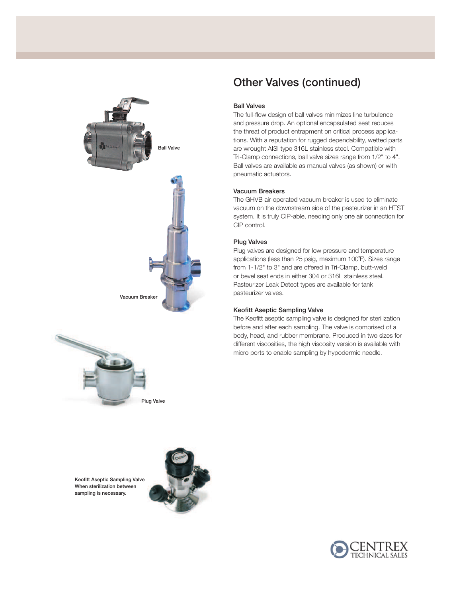



# Other Valves (continued)

#### Ball Valves

The full-flow design of ball valves minimizes line turbulence and pressure drop. An optional encapsulated seat reduces the threat of product entrapment on critical process applications. With a reputation for rugged dependability, wetted parts are wrought AISI type 316L stainless steel. Compatible with Tri-Clamp connections, ball valve sizes range from 1/2" to 4". Ball valves are available as manual valves (as shown) or with pneumatic actuators.

### Vacuum Breakers

The GHVB air-operated vacuum breaker is used to eliminate vacuum on the downstream side of the pasteurizer in an HTST system. It is truly CIP-able, needing only one air connection for CIP control.

### Plug Valves

Plug valves are designed for low pressure and temperature applications (less than 25 psig, maximum 100°F). Sizes range from 1-1/2" to 3" and are offered in Tri-Clamp, butt-weld or bevel seat ends in either 304 or 316L stainless steal. Pasteurizer Leak Detect types are available for tank pasteurizer valves.

#### Keofitt Aseptic Sampling Valve

The Keofitt aseptic sampling valve is designed for sterilization before and after each sampling. The valve is comprised of a body, head, and rubber membrane. Produced in two sizes for different viscosities, the high viscosity version is available with micro ports to enable sampling by hypodermic needle.

Keofitt Aseptic Sampling Valve When sterilization between sampling is necessary.